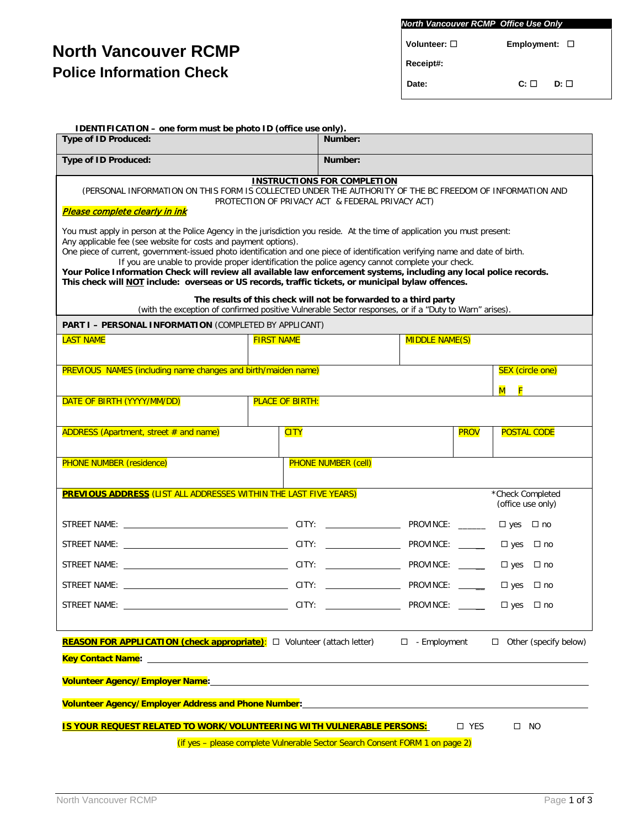# **North Vancouver RCMP Police Information Check**

| <b>North Vancouver RCMP Office Use Only</b> |                       |      |  |  |  |
|---------------------------------------------|-----------------------|------|--|--|--|
| Volunteer: □                                | $Employment: \Box$    |      |  |  |  |
| Receipt#:                                   |                       |      |  |  |  |
| Date:                                       | $\mathbf{C}$ : $\Box$ | D: □ |  |  |  |

| IDENTIFICATION - one form must be photo ID (office use only).                                                                                                                                                                                                                                                                                                                                                                                                                                                                              |                                                                              |                                    |  |             |                                       |                              |
|--------------------------------------------------------------------------------------------------------------------------------------------------------------------------------------------------------------------------------------------------------------------------------------------------------------------------------------------------------------------------------------------------------------------------------------------------------------------------------------------------------------------------------------------|------------------------------------------------------------------------------|------------------------------------|--|-------------|---------------------------------------|------------------------------|
| <b>Type of ID Produced:</b>                                                                                                                                                                                                                                                                                                                                                                                                                                                                                                                |                                                                              | Number:                            |  |             |                                       |                              |
| <b>Type of ID Produced:</b>                                                                                                                                                                                                                                                                                                                                                                                                                                                                                                                |                                                                              | Number:                            |  |             |                                       |                              |
| (PERSONAL INFORMATION ON THIS FORM IS COLLECTED UNDER THE AUTHORITY OF THE BC FREEDOM OF INFORMATION AND<br><u>Please complete clearly in ink</u><br>You must apply in person at the Police Agency in the jurisdiction you reside. At the time of application you must present:                                                                                                                                                                                                                                                            | PROTECTION OF PRIVACY ACT & FEDERAL PRIVACY ACT)                             | <b>INSTRUCTIONS FOR COMPLETION</b> |  |             |                                       |                              |
| Any applicable fee (see website for costs and payment options).<br>One piece of current, government-issued photo identification and one piece of identification verifying name and date of birth.<br>If you are unable to provide proper identification the police agency cannot complete your check.<br>Your Police Information Check will review all available law enforcement systems, including any local police records.<br>This check will <b>NOT</b> include: overseas or US records, traffic tickets, or municipal bylaw offences. |                                                                              |                                    |  |             |                                       |                              |
| (with the exception of confirmed positive Vulnerable Sector responses, or if a "Duty to Warn" arises).                                                                                                                                                                                                                                                                                                                                                                                                                                     | The results of this check will not be forwarded to a third party             |                                    |  |             |                                       |                              |
| <b>PART I - PERSONAL INFORMATION (COMPLETED BY APPLICANT)</b>                                                                                                                                                                                                                                                                                                                                                                                                                                                                              |                                                                              |                                    |  |             |                                       |                              |
| <b>LAST NAME</b>                                                                                                                                                                                                                                                                                                                                                                                                                                                                                                                           | <b>FIRST NAME</b>                                                            | <b>MIDDLE NAME(S)</b>              |  |             |                                       |                              |
| <b>PREVIOUS NAMES (including name changes and birth/maiden name)</b>                                                                                                                                                                                                                                                                                                                                                                                                                                                                       |                                                                              |                                    |  |             | SEX (circle one)                      |                              |
|                                                                                                                                                                                                                                                                                                                                                                                                                                                                                                                                            |                                                                              |                                    |  |             | M F                                   |                              |
| DATE OF BIRTH (YYYY/MM/DD)                                                                                                                                                                                                                                                                                                                                                                                                                                                                                                                 | <b>PLACE OF BIRTH:</b>                                                       |                                    |  |             |                                       |                              |
| ADDRESS (Apartment, street # and name)                                                                                                                                                                                                                                                                                                                                                                                                                                                                                                     | <b>CITY</b>                                                                  |                                    |  | <b>PROV</b> | <b>POSTAL CODE</b>                    |                              |
| <b>PHONE NUMBER (residence)</b>                                                                                                                                                                                                                                                                                                                                                                                                                                                                                                            |                                                                              | <b>PHONE NUMBER (cell)</b>         |  |             |                                       |                              |
| <b>PREVIOUS ADDRESS</b> (LIST ALL ADDRESSES WITHIN THE LAST FIVE YEARS)                                                                                                                                                                                                                                                                                                                                                                                                                                                                    |                                                                              |                                    |  |             | *Check Completed<br>(office use only) |                              |
|                                                                                                                                                                                                                                                                                                                                                                                                                                                                                                                                            |                                                                              |                                    |  |             | $\square$ yes                         | □ no                         |
|                                                                                                                                                                                                                                                                                                                                                                                                                                                                                                                                            |                                                                              |                                    |  |             | $\square$ yes                         | $\Box$ no                    |
|                                                                                                                                                                                                                                                                                                                                                                                                                                                                                                                                            |                                                                              |                                    |  |             | $\square$ yes                         | $\Box$ no                    |
| <u> 1989 - Johann Barnett, fransk politiker (</u><br>STREET NAME:                                                                                                                                                                                                                                                                                                                                                                                                                                                                          |                                                                              |                                    |  |             | $\square$ yes                         | $\Box$ no                    |
|                                                                                                                                                                                                                                                                                                                                                                                                                                                                                                                                            |                                                                              |                                    |  |             | $\Box$ yes $\Box$ no                  |                              |
|                                                                                                                                                                                                                                                                                                                                                                                                                                                                                                                                            |                                                                              |                                    |  |             |                                       |                              |
| <b>REASON FOR APPLICATION (check appropriate):</b> □ Volunteer (attach letter) □ - Employment                                                                                                                                                                                                                                                                                                                                                                                                                                              |                                                                              |                                    |  |             |                                       | $\Box$ Other (specify below) |
|                                                                                                                                                                                                                                                                                                                                                                                                                                                                                                                                            |                                                                              |                                    |  |             |                                       |                              |
| Volunteer Agency/Employer Name:<br>Volunteer Agency/Employer Name:                                                                                                                                                                                                                                                                                                                                                                                                                                                                         |                                                                              |                                    |  |             |                                       |                              |
| Volunteer Agency/Employer Address and Phone Number:_____________________________                                                                                                                                                                                                                                                                                                                                                                                                                                                           |                                                                              |                                    |  |             |                                       |                              |
| IS YOUR REQUEST RELATED TO WORK/VOLUNTEERING WITH VULNERABLE PERSONS:<br>$\square$ YES<br>$\square$ NO                                                                                                                                                                                                                                                                                                                                                                                                                                     |                                                                              |                                    |  |             |                                       |                              |
|                                                                                                                                                                                                                                                                                                                                                                                                                                                                                                                                            | (if yes - please complete Vulnerable Sector Search Consent FORM 1 on page 2) |                                    |  |             |                                       |                              |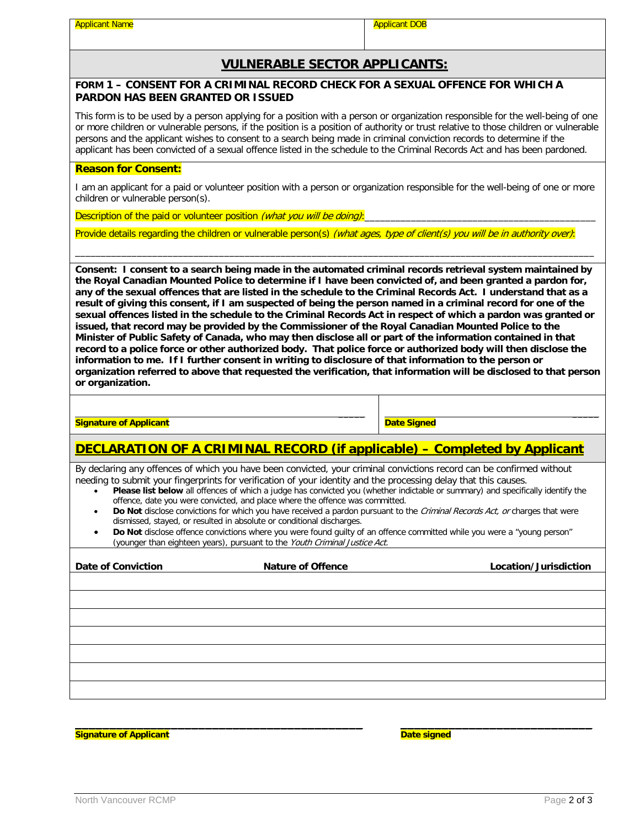Applicant Name Applicant DOB Applicant DOB

#### **VULNERABLE SECTOR APPLICANTS:**

#### **FORM 1 – CONSENT FOR A CRIMINAL RECORD CHECK FOR A SEXUAL OFFENCE FOR WHICH A PARDON HAS BEEN GRANTED OR ISSUED**

This form is to be used by a person applying for a position with a person or organization responsible for the well-being of one or more children or vulnerable persons, if the position is a position of authority or trust relative to those children or vulnerable persons and the applicant wishes to consent to a search being made in criminal conviction records to determine if the applicant has been convicted of a sexual offence listed in the schedule to the Criminal Records Act and has been pardoned.

#### **Reason for Consent:**

I am an applicant for a paid or volunteer position with a person or organization responsible for the well-being of one or more children or vulnerable person(s).

\_\_\_\_\_\_\_\_\_\_\_\_\_\_\_\_\_\_\_\_\_\_\_\_\_\_\_\_\_\_\_\_\_\_\_\_\_\_\_\_\_\_\_\_\_\_\_\_\_\_\_\_\_\_\_\_\_\_\_\_\_\_\_\_\_\_\_\_\_\_\_\_\_\_\_\_\_\_\_\_\_\_\_\_\_\_\_\_\_\_\_\_\_\_\_\_\_\_\_\_\_

Description of the paid or volunteer position (what you will be doing):

Provide details regarding the children or vulnerable person(s) (what ages, type of client(s) you will be in authority over):

**Consent: I consent to a search being made in the automated criminal records retrieval system maintained by the Royal Canadian Mounted Police to determine if I have been convicted of, and been granted a pardon for, any of the sexual offences that are listed in the schedule to the Criminal Records Act. I understand that as a result of giving this consent, if I am suspected of being the person named in a criminal record for one of the sexual offences listed in the schedule to the Criminal Records Act in respect of which a pardon was granted or issued, that record may be provided by the Commissioner of the Royal Canadian Mounted Police to the Minister of Public Safety of Canada, who may then disclose all or part of the information contained in that record to a police force or other authorized body. That police force or authorized body will then disclose the information to me. If I further consent in writing to disclosure of that information to the person or organization referred to above that requested the verification, that information will be disclosed to that person or organization.**

**Signature of Applicant**

**Date Signed**

## **DECLARATION OF A CRIMINAL RECORD (if applicable) – Completed by Applicant**

**\_\_\_\_\_**

By declaring any offences of which you have been convicted, your criminal convictions record can be confirmed without needing to submit your fingerprints for verification of your identity and the processing delay that this causes.

- **Please list below** all offences of which a judge has convicted you (whether indictable or summary) and specifically identify the offence, date you were convicted, and place where the offence was committed.
- Do Not disclose convictions for which you have received a pardon pursuant to the Criminal Records Act, or charges that were dismissed, stayed, or resulted in absolute or conditional discharges.
- **Do Not** disclose offence convictions where you were found guilty of an offence committed while you were a "young person" (younger than eighteen years), pursuant to the Youth Criminal Justice Act.

| <b>Nature of Offence</b> | Location/Jurisdiction |
|--------------------------|-----------------------|
|                          |                       |
|                          |                       |
|                          |                       |
|                          |                       |
|                          |                       |
|                          |                       |
|                          |                       |
|                          |                       |

\_\_\_\_\_\_\_\_\_\_\_\_\_\_\_\_\_\_\_\_\_\_\_\_\_\_\_\_\_\_\_\_\_\_\_\_\_\_\_\_\_\_ **Signature of Applicant**

\_\_\_\_\_\_\_\_\_\_\_\_\_\_\_\_\_\_\_\_\_\_\_\_\_\_\_\_

**\_\_\_\_\_**